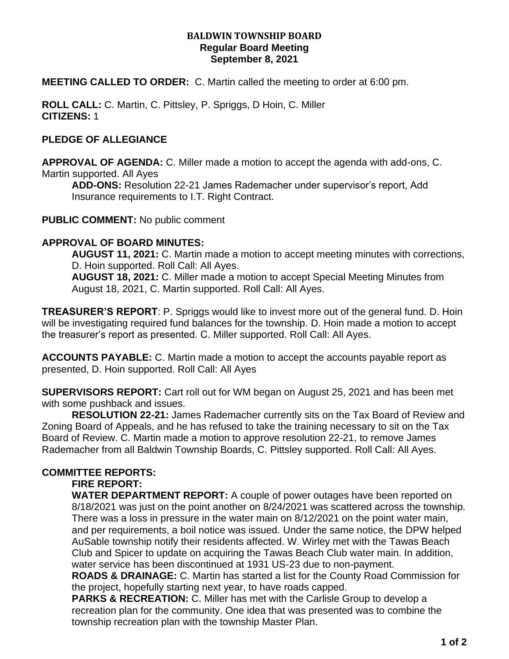### **BALDWIN TOWNSHIP BOARD Regular Board Meeting September 8, 2021**

**MEETING CALLED TO ORDER:** C. Martin called the meeting to order at 6:00 pm.

**ROLL CALL:** C. Martin, C. Pittsley, P. Spriggs, D Hoin, C. Miller **CITIZENS:** 1

## **PLEDGE OF ALLEGIANCE**

**APPROVAL OF AGENDA:** C. Miller made a motion to accept the agenda with add-ons, C. Martin supported. All Ayes

**ADD-ONS:** Resolution 22-21 James Rademacher under supervisor's report, Add Insurance requirements to I.T. Right Contract.

**PUBLIC COMMENT:** No public comment

## **APPROVAL OF BOARD MINUTES:**

**AUGUST 11, 2021:** C. Martin made a motion to accept meeting minutes with corrections, D. Hoin supported. Roll Call: All Ayes.

**AUGUST 18, 2021:** C. Miller made a motion to accept Special Meeting Minutes from August 18, 2021, C. Martin supported. Roll Call: All Ayes.

**TREASURER'S REPORT**: P. Spriggs would like to invest more out of the general fund. D. Hoin will be investigating required fund balances for the township. D. Hoin made a motion to accept the treasurer's report as presented. C. Miller supported. Roll Call: All Ayes.

**ACCOUNTS PAYABLE:** C. Martin made a motion to accept the accounts payable report as presented, D. Hoin supported. Roll Call: All Ayes

**SUPERVISORS REPORT:** Cart roll out for WM began on August 25, 2021 and has been met with some pushback and issues.

**RESOLUTION 22-21:** James Rademacher currently sits on the Tax Board of Review and Zoning Board of Appeals, and he has refused to take the training necessary to sit on the Tax Board of Review. C. Martin made a motion to approve resolution 22-21, to remove James Rademacher from all Baldwin Township Boards, C. Pittsley supported. Roll Call: All Ayes.

## **COMMITTEE REPORTS:**

## **FIRE REPORT:**

**WATER DEPARTMENT REPORT:** A couple of power outages have been reported on 8/18/2021 was just on the point another on 8/24/2021 was scattered across the township. There was a loss in pressure in the water main on 8/12/2021 on the point water main, and per requirements, a boil notice was issued. Under the same notice, the DPW helped AuSable township notify their residents affected. W. Wirley met with the Tawas Beach Club and Spicer to update on acquiring the Tawas Beach Club water main. In addition, water service has been discontinued at 1931 US-23 due to non-payment.

**ROADS & DRAINAGE:** C. Martin has started a list for the County Road Commission for the project, hopefully starting next year, to have roads capped.

**PARKS & RECREATION:** C. Miller has met with the Carlisle Group to develop a recreation plan for the community. One idea that was presented was to combine the township recreation plan with the township Master Plan.